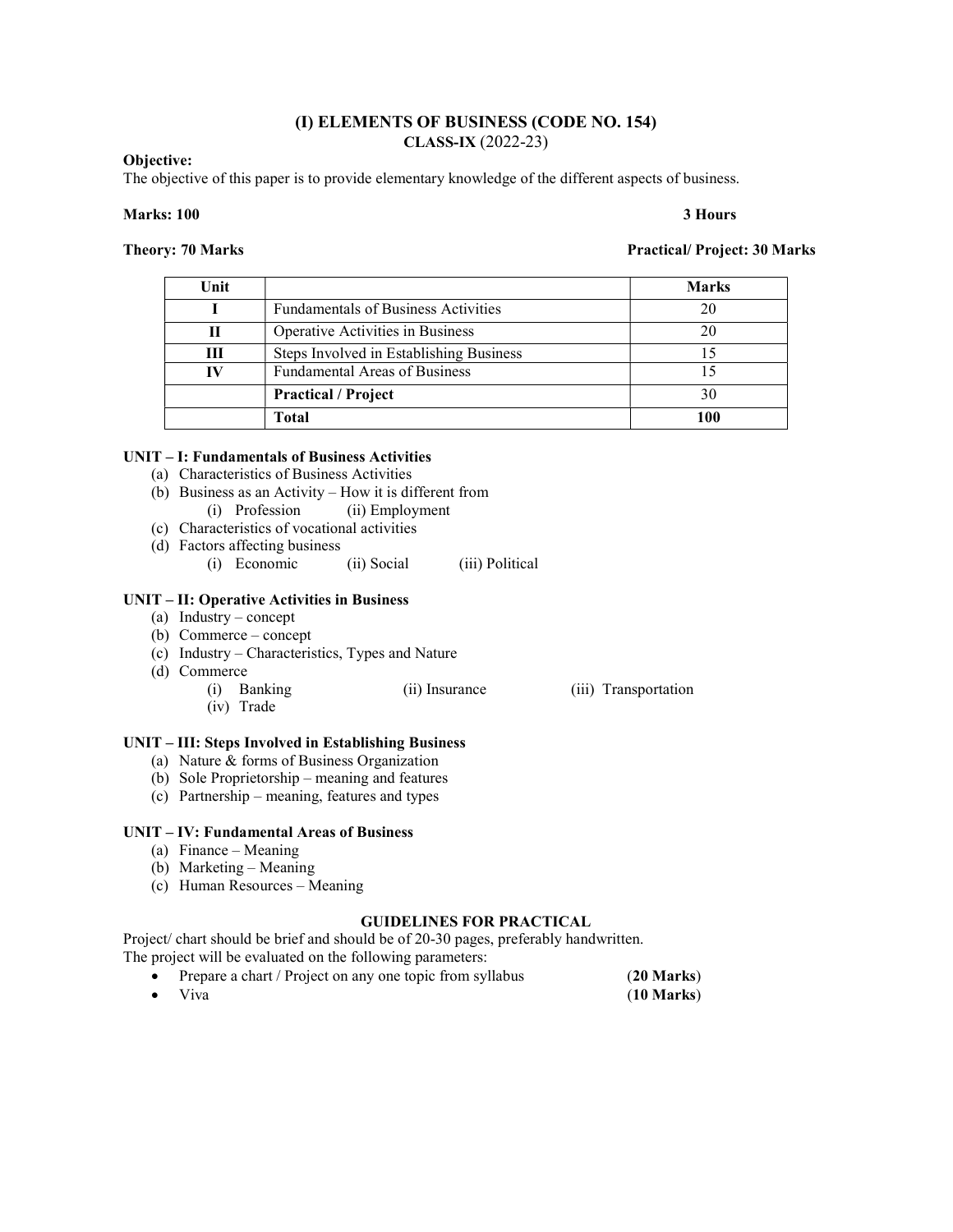## (I) ELEMENTS OF BUSINESS (CODE NO. 154) CLASS-IX (2022-23)

### Objective:

The objective of this paper is to provide elementary knowledge of the different aspects of business.

### Marks: 100 3 Hours

Theory: 70 Marks **Practical/ Project: 30 Marks** Practical/ Project: 30 Marks

| Unit |                                            | <b>Marks</b> |
|------|--------------------------------------------|--------------|
|      | <b>Fundamentals of Business Activities</b> | 20           |
|      | Operative Activities in Business           |              |
| Ш    | Steps Involved in Establishing Business    |              |
|      | <b>Fundamental Areas of Business</b>       |              |
|      | <b>Practical / Project</b>                 | 30           |
|      | <b>Total</b>                               |              |

# UNIT – I: Fundamentals of Business Activities

- (a) Characteristics of Business Activities
- (b) Business as an Activity How it is different from (i) Profession (ii) Employment
- (c) Characteristics of vocational activities
- (d) Factors affecting business
	- (i) Economic (ii) Social (iii) Political

# UNIT – II: Operative Activities in Business

- (a) Industry concept
- (b) Commerce concept
- (c) Industry Characteristics, Types and Nature
- (d) Commerce
	- (i) Banking (ii) Insurance (iii) Transportation (iv) Trade

- UNIT III: Steps Involved in Establishing Business
	- (a) Nature & forms of Business Organization
	- (b) Sole Proprietorship meaning and features
	- (c) Partnership meaning, features and types

### UNIT – IV: Fundamental Areas of Business

- (a) Finance Meaning
- (b) Marketing Meaning
- (c) Human Resources Meaning

### GUIDELINES FOR PRACTICAL

Project/ chart should be brief and should be of 20-30 pages, preferably handwritten. The project will be evaluated on the following parameters:

| Prepare a chart / Project on any one topic from syllabus | $(20$ Marks)         |
|----------------------------------------------------------|----------------------|
| $\bullet$ Viva                                           | $(10 \text{ Marks})$ |